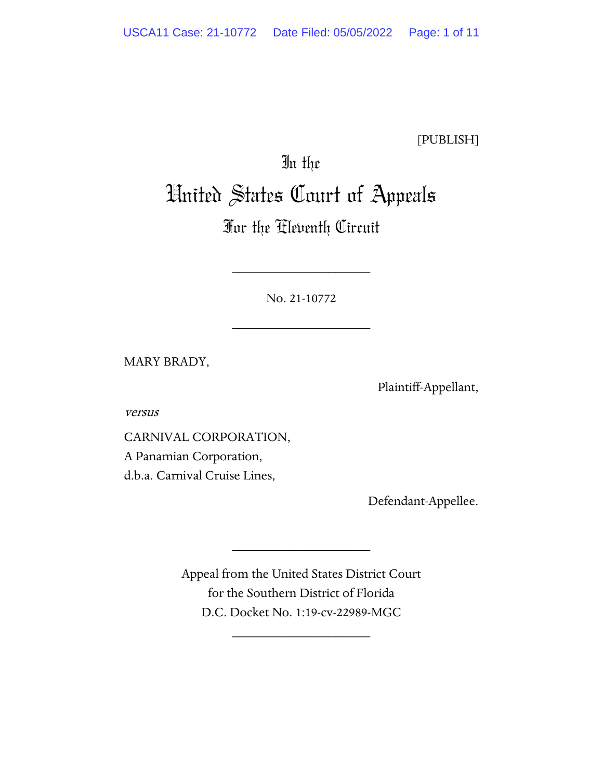[PUBLISH]

# In the United States Court of Appeals

# For the Eleventh Circuit

No. 21-10772

\_\_\_\_\_\_\_\_\_\_\_\_\_\_\_\_\_\_\_\_

\_\_\_\_\_\_\_\_\_\_\_\_\_\_\_\_\_\_\_\_

MARY BRADY,

Plaintiff-Appellant,

versus

CARNIVAL CORPORATION, A Panamian Corporation, d.b.a. Carnival Cruise Lines,

Defendant-Appellee.

Appeal from the United States District Court for the Southern District of Florida D.C. Docket No. 1:19-cv-22989-MGC

\_\_\_\_\_\_\_\_\_\_\_\_\_\_\_\_\_\_\_\_

\_\_\_\_\_\_\_\_\_\_\_\_\_\_\_\_\_\_\_\_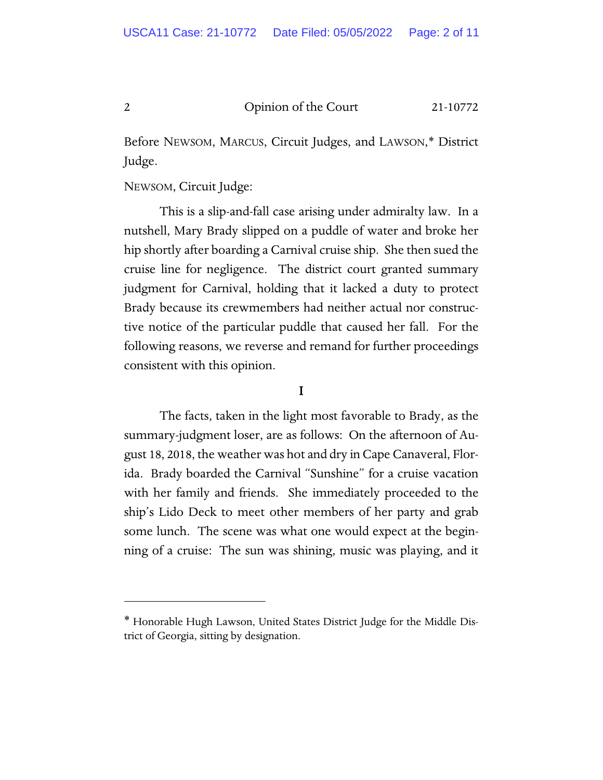Before NEWSOM, MARCUS, Circuit Judges, and LAWSON,\* District Judge.

# NEWSOM, Circuit Judge:

This is a slip-and-fall case arising under admiralty law. In a nutshell, Mary Brady slipped on a puddle of water and broke her hip shortly after boarding a Carnival cruise ship. She then sued the cruise line for negligence. The district court granted summary judgment for Carnival, holding that it lacked a duty to protect Brady because its crewmembers had neither actual nor constructive notice of the particular puddle that caused her fall. For the following reasons, we reverse and remand for further proceedings consistent with this opinion.

# I

The facts, taken in the light most favorable to Brady, as the summary-judgment loser, are as follows: On the afternoon of August 18, 2018, the weather was hot and dry in Cape Canaveral, Florida. Brady boarded the Carnival "Sunshine" for a cruise vacation with her family and friends. She immediately proceeded to the ship's Lido Deck to meet other members of her party and grab some lunch. The scene was what one would expect at the beginning of a cruise: The sun was shining, music was playing, and it

<span id="page-1-0"></span><sup>∗</sup> Honorable Hugh Lawson, United States District Judge for the Middle District of Georgia, sitting by designation.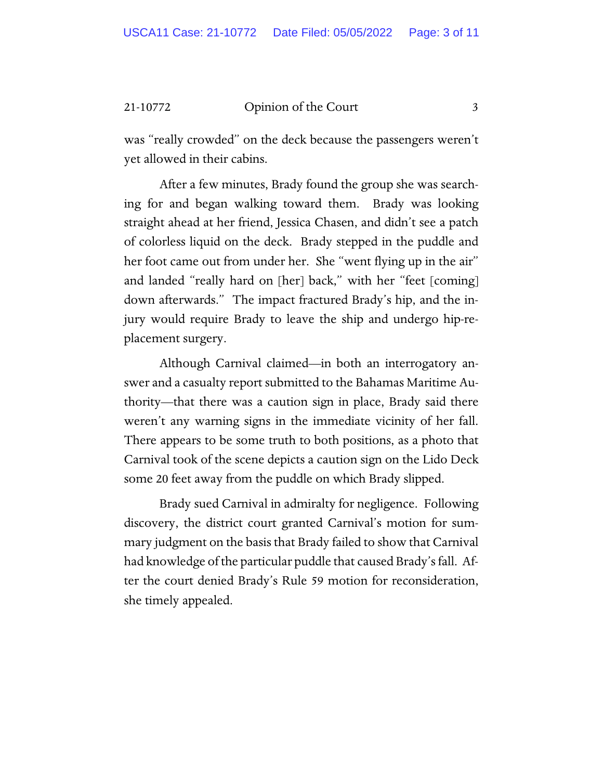was "really crowded" on the deck because the passengers weren't yet allowed in their cabins.

After a few minutes, Brady found the group she was searching for and began walking toward them. Brady was looking straight ahead at her friend, Jessica Chasen, and didn't see a patch of colorless liquid on the deck. Brady stepped in the puddle and her foot came out from under her. She "went flying up in the air" and landed "really hard on [her] back," with her "feet [coming] down afterwards." The impact fractured Brady's hip, and the injury would require Brady to leave the ship and undergo hip-replacement surgery.

Although Carnival claimed—in both an interrogatory answer and a casualty report submitted to the Bahamas Maritime Authority—that there was a caution sign in place, Brady said there weren't any warning signs in the immediate vicinity of her fall. There appears to be some truth to both positions, as a photo that Carnival took of the scene depicts a caution sign on the Lido Deck some 20 feet away from the puddle on which Brady slipped.

Brady sued Carnival in admiralty for negligence. Following discovery, the district court granted Carnival's motion for summary judgment on the basis that Brady failed to show that Carnival had knowledge of the particular puddle that caused Brady's fall. After the court denied Brady's Rule 59 motion for reconsideration, she timely appealed.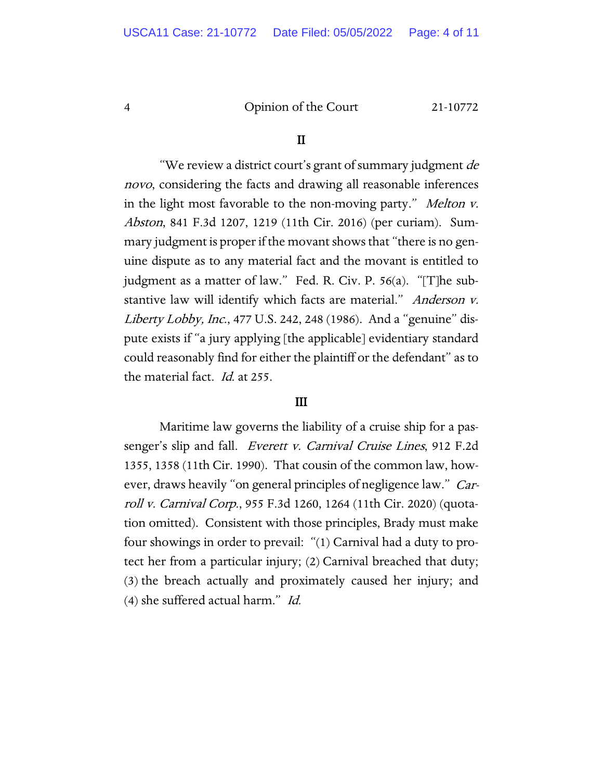#### II

"We review a district court's grant of summary judgment de novo, considering the facts and drawing all reasonable inferences in the light most favorable to the non-moving party." Melton v. Abston, 841 F.3d 1207, 1219 (11th Cir. 2016) (per curiam). Summary judgment is proper if the movant shows that "there is no genuine dispute as to any material fact and the movant is entitled to judgment as a matter of law." Fed. R. Civ. P. 56(a). "[T]he substantive law will identify which facts are material." Anderson v. Liberty Lobby, Inc., 477 U.S. 242, 248 (1986). And a "genuine" dispute exists if "a jury applying [the applicable] evidentiary standard could reasonably find for either the plaintiff or the defendant" as to the material fact. Id. at 255.

#### III

Maritime law governs the liability of a cruise ship for a passenger's slip and fall. *Everett v. Carnival Cruise Lines*, 912 F.2d 1355, 1358 (11th Cir. 1990). That cousin of the common law, however, draws heavily "on general principles of negligence law." *Car*roll v. Carnival Corp., 955 F.3d 1260, 1264 (11th Cir. 2020) (quotation omitted). Consistent with those principles, Brady must make four showings in order to prevail: "(1) Carnival had a duty to protect her from a particular injury; (2) Carnival breached that duty; (3) the breach actually and proximately caused her injury; and (4) she suffered actual harm." Id.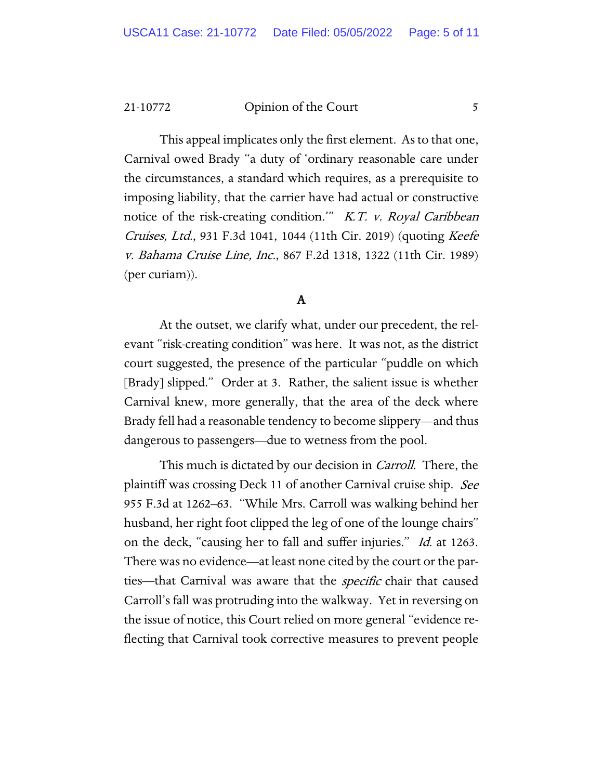This appeal implicates only the first element. As to that one, Carnival owed Brady "a duty of 'ordinary reasonable care under the circumstances, a standard which requires, as a prerequisite to imposing liability, that the carrier have had actual or constructive notice of the risk-creating condition." K.T. v. Royal Caribbean Cruises, Ltd., 931 F.3d 1041, 1044 (11th Cir. 2019) (quoting Keefe v. Bahama Cruise Line, Inc., 867 F.2d 1318, 1322 (11th Cir. 1989) (per curiam)).

# A

At the outset, we clarify what, under our precedent, the relevant "risk-creating condition" was here. It was not, as the district court suggested, the presence of the particular "puddle on which [Brady] slipped." Order at 3. Rather, the salient issue is whether Carnival knew, more generally, that the area of the deck where Brady fell had a reasonable tendency to become slippery—and thus dangerous to passengers—due to wetness from the pool.

This much is dictated by our decision in Carroll. There, the plaintiff was crossing Deck 11 of another Carnival cruise ship. See 955 F.3d at 1262–63. "While Mrs. Carroll was walking behind her husband, her right foot clipped the leg of one of the lounge chairs" on the deck, "causing her to fall and suffer injuries." *Id.* at 1263. There was no evidence—at least none cited by the court or the parties—that Carnival was aware that the *specific* chair that caused Carroll's fall was protruding into the walkway. Yet in reversing on the issue of notice, this Court relied on more general "evidence reflecting that Carnival took corrective measures to prevent people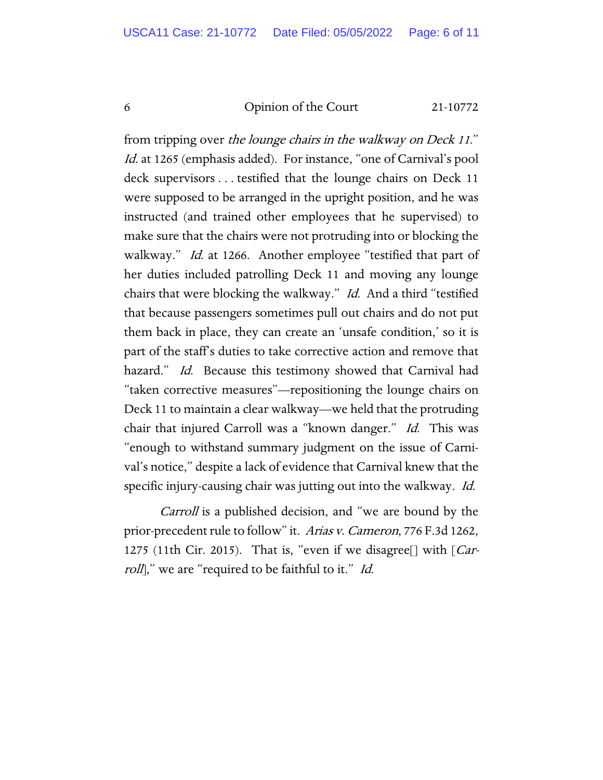from tripping over the lounge chairs in the walkway on Deck 11." Id. at 1265 (emphasis added). For instance, "one of Carnival's pool deck supervisors . . . testified that the lounge chairs on Deck 11 were supposed to be arranged in the upright position, and he was instructed (and trained other employees that he supervised) to make sure that the chairs were not protruding into or blocking the walkway." Id. at 1266. Another employee "testified that part of her duties included patrolling Deck 11 and moving any lounge chairs that were blocking the walkway." Id. And a third "testified that because passengers sometimes pull out chairs and do not put them back in place, they can create an 'unsafe condition,' so it is part of the staff's duties to take corrective action and remove that hazard." Id. Because this testimony showed that Carnival had "taken corrective measures"—repositioning the lounge chairs on Deck 11 to maintain a clear walkway—we held that the protruding chair that injured Carroll was a "known danger." Id. This was "enough to withstand summary judgment on the issue of Carnival's notice," despite a lack of evidence that Carnival knew that the specific injury-causing chair was jutting out into the walkway. Id.

Carroll is a published decision, and "we are bound by the prior-precedent rule to follow" it. Arias v. Cameron, 776 F.3d 1262, 1275 (11th Cir. 2015). That is, "even if we disagree<sup>[]</sup> with [*Car*roll," we are "required to be faithful to it." Id.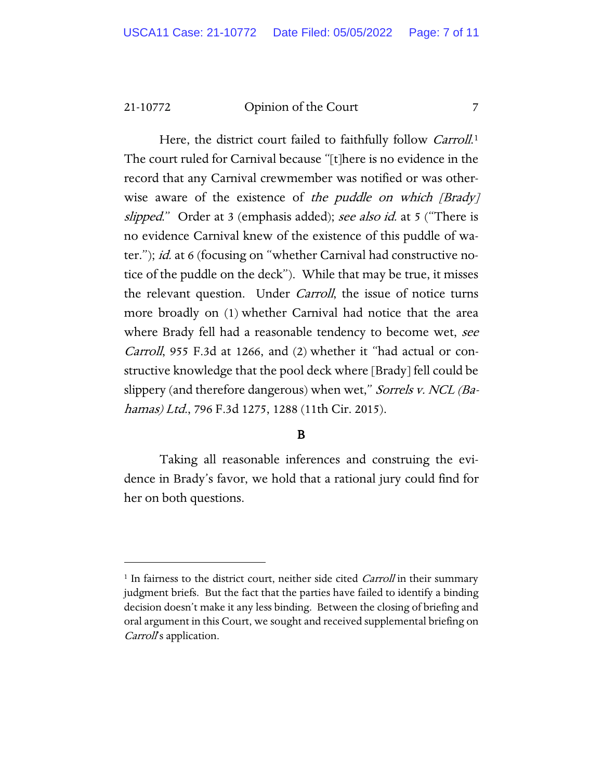Here, the district court failed to faithfully follow *Carroll*.<sup>[1](#page-6-0)</sup> The court ruled for Carnival because "[t]here is no evidence in the record that any Carnival crewmember was notified or was otherwise aware of the existence of the puddle on which [Brady] slipped." Order at 3 (emphasis added); see also id. at 5 ("There is no evidence Carnival knew of the existence of this puddle of water."); id. at 6 (focusing on "whether Carnival had constructive notice of the puddle on the deck"). While that may be true, it misses the relevant question. Under Carroll, the issue of notice turns more broadly on (1) whether Carnival had notice that the area where Brady fell had a reasonable tendency to become wet, see Carroll, 955 F.3d at 1266, and (2) whether it "had actual or constructive knowledge that the pool deck where [Brady] fell could be slippery (and therefore dangerous) when wet," Sorrels v. NCL (Bahamas) Ltd., 796 F.3d 1275, 1288 (11th Cir. 2015).

# B

Taking all reasonable inferences and construing the evidence in Brady's favor, we hold that a rational jury could find for her on both questions.

<span id="page-6-0"></span><sup>&</sup>lt;sup>1</sup> In fairness to the district court, neither side cited *Carroll* in their summary judgment briefs. But the fact that the parties have failed to identify a binding decision doesn't make it any less binding. Between the closing of briefing and oral argument in this Court, we sought and received supplemental briefing on Carroll's application.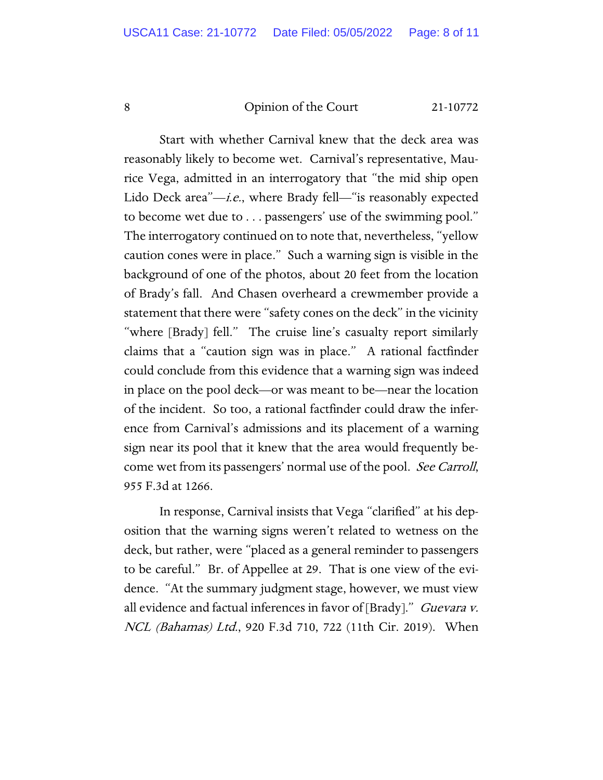Start with whether Carnival knew that the deck area was reasonably likely to become wet. Carnival's representative, Maurice Vega, admitted in an interrogatory that "the mid ship open Lido Deck area" $-i.e.,$  where Brady fell—"is reasonably expected to become wet due to . . . passengers' use of the swimming pool." The interrogatory continued on to note that, nevertheless, "yellow caution cones were in place." Such a warning sign is visible in the background of one of the photos, about 20 feet from the location of Brady's fall. And Chasen overheard a crewmember provide a statement that there were "safety cones on the deck" in the vicinity "where [Brady] fell." The cruise line's casualty report similarly claims that a "caution sign was in place." A rational factfinder could conclude from this evidence that a warning sign was indeed in place on the pool deck—or was meant to be—near the location of the incident. So too, a rational factfinder could draw the inference from Carnival's admissions and its placement of a warning sign near its pool that it knew that the area would frequently become wet from its passengers' normal use of the pool. See Carroll, 955 F.3d at 1266.

In response, Carnival insists that Vega "clarified" at his deposition that the warning signs weren't related to wetness on the deck, but rather, were "placed as a general reminder to passengers to be careful." Br. of Appellee at 29. That is one view of the evidence. "At the summary judgment stage, however, we must view all evidence and factual inferences in favor of [Brady]." *Guevara v.* NCL (Bahamas) Ltd., 920 F.3d 710, 722 (11th Cir. 2019). When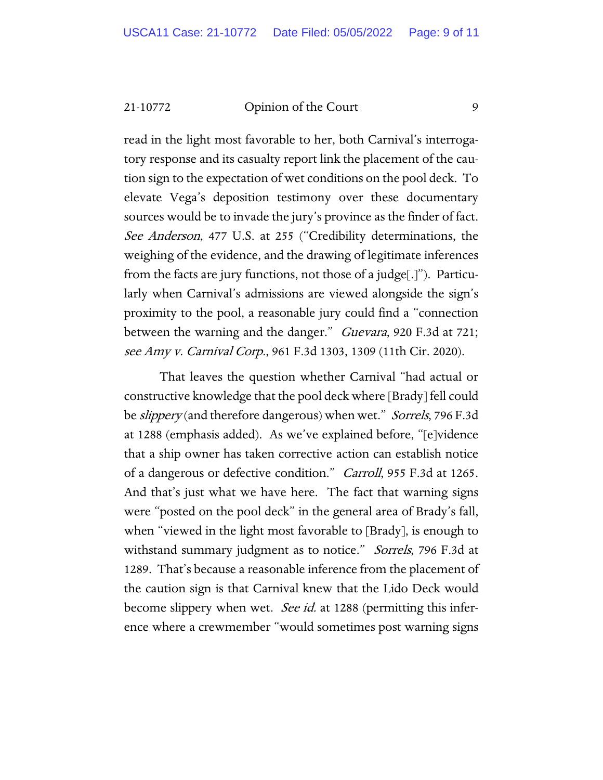read in the light most favorable to her, both Carnival's interrogatory response and its casualty report link the placement of the caution sign to the expectation of wet conditions on the pool deck. To elevate Vega's deposition testimony over these documentary sources would be to invade the jury's province as the finder of fact. See Anderson, 477 U.S. at 255 ("Credibility determinations, the weighing of the evidence, and the drawing of legitimate inferences from the facts are jury functions, not those of a judge[.]"). Particularly when Carnival's admissions are viewed alongside the sign's proximity to the pool, a reasonable jury could find a "connection between the warning and the danger." Guevara, 920 F.3d at 721; see Amy v. Carnival Corp., 961 F.3d 1303, 1309 (11th Cir. 2020).

That leaves the question whether Carnival "had actual or constructive knowledge that the pool deck where [Brady] fell could be *slippery* (and therefore dangerous) when wet." *Sorrels*, 796 F.3d at 1288 (emphasis added). As we've explained before, "[e]vidence that a ship owner has taken corrective action can establish notice of a dangerous or defective condition." Carroll, 955 F.3d at 1265. And that's just what we have here. The fact that warning signs were "posted on the pool deck" in the general area of Brady's fall, when "viewed in the light most favorable to [Brady], is enough to withstand summary judgment as to notice." Sorrels, 796 F.3d at 1289. That's because a reasonable inference from the placement of the caution sign is that Carnival knew that the Lido Deck would become slippery when wet. See id. at 1288 (permitting this inference where a crewmember "would sometimes post warning signs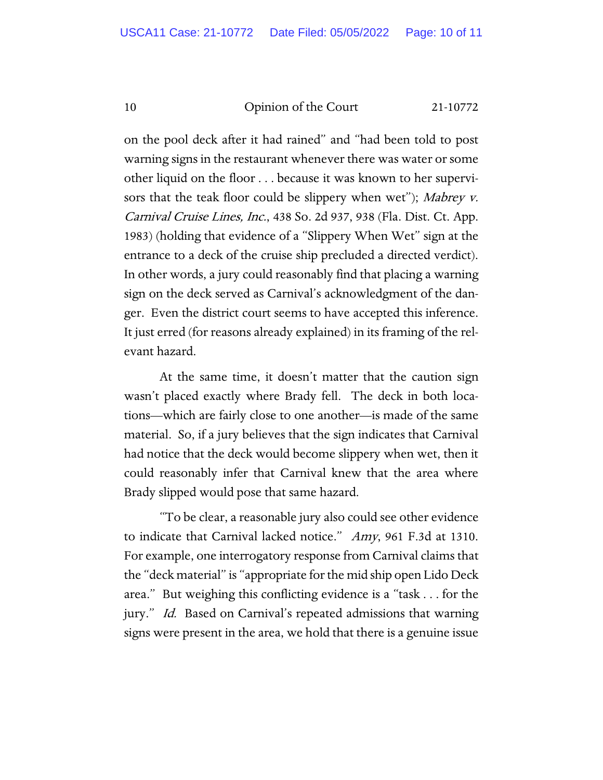on the pool deck after it had rained" and "had been told to post warning signs in the restaurant whenever there was water or some other liquid on the floor . . . because it was known to her supervisors that the teak floor could be slippery when wet"); Mabrey v. Carnival Cruise Lines, Inc., 438 So. 2d 937, 938 (Fla. Dist. Ct. App. 1983) (holding that evidence of a "Slippery When Wet" sign at the entrance to a deck of the cruise ship precluded a directed verdict). In other words, a jury could reasonably find that placing a warning sign on the deck served as Carnival's acknowledgment of the danger. Even the district court seems to have accepted this inference. It just erred (for reasons already explained) in its framing of the relevant hazard.

At the same time, it doesn't matter that the caution sign wasn't placed exactly where Brady fell. The deck in both locations—which are fairly close to one another—is made of the same material. So, if a jury believes that the sign indicates that Carnival had notice that the deck would become slippery when wet, then it could reasonably infer that Carnival knew that the area where Brady slipped would pose that same hazard.

"To be clear, a reasonable jury also could see other evidence to indicate that Carnival lacked notice." Amy, 961 F.3d at 1310. For example, one interrogatory response from Carnival claims that the "deck material" is "appropriate for the mid ship open Lido Deck area." But weighing this conflicting evidence is a "task . . . for the jury." Id. Based on Carnival's repeated admissions that warning signs were present in the area, we hold that there is a genuine issue